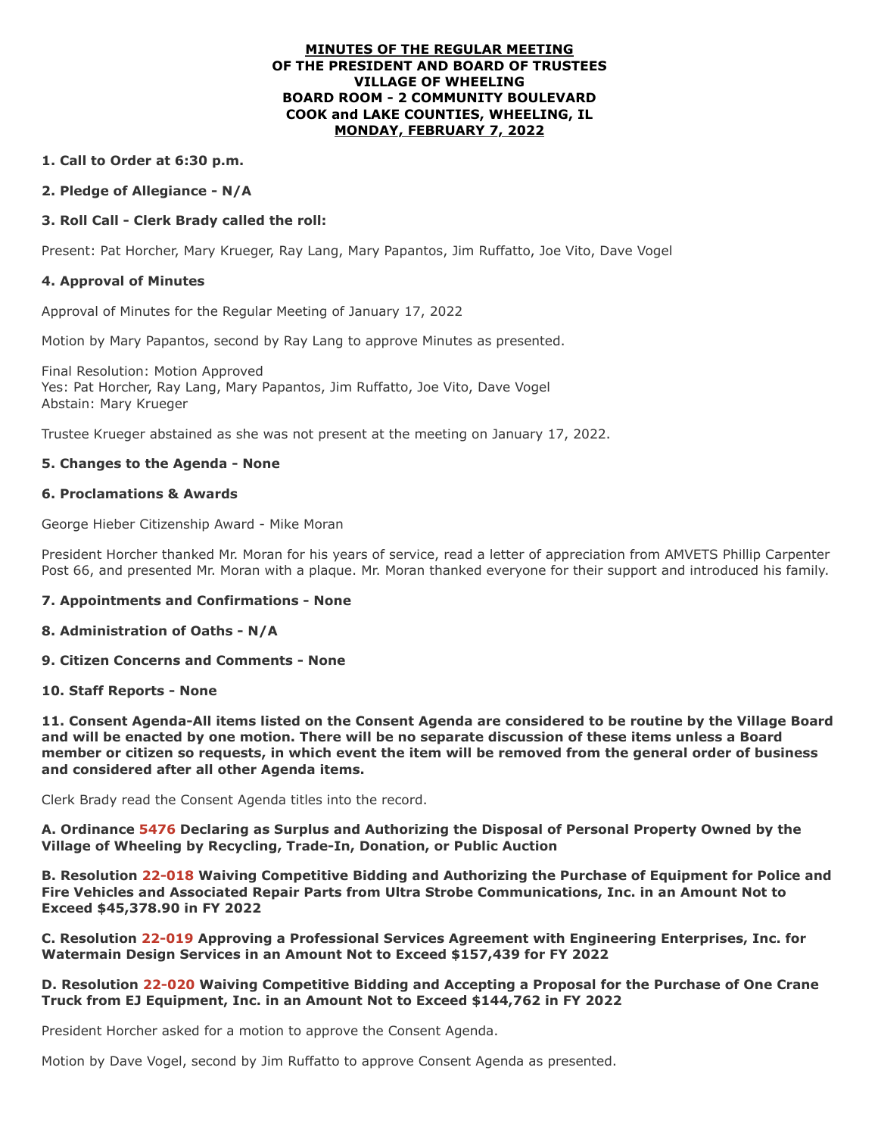#### **MINUTES OF THE REGULAR MEETING OF THE PRESIDENT AND BOARD OF TRUSTEES VILLAGE OF WHEELING BOARD ROOM - 2 COMMUNITY BOULEVARD COOK and LAKE COUNTIES, WHEELING, IL MONDAY, FEBRUARY 7, 2022**

## **1. Call to Order at 6:30 p.m.**

## **2. Pledge of Allegiance - N/A**

# **3. Roll Call - Clerk Brady called the roll:**

Present: Pat Horcher, Mary Krueger, Ray Lang, Mary Papantos, Jim Ruffatto, Joe Vito, Dave Vogel

### **4. Approval of Minutes**

Approval of Minutes for the Regular Meeting of January 17, 2022

Motion by Mary Papantos, second by Ray Lang to approve Minutes as presented.

Final Resolution: Motion Approved Yes: Pat Horcher, Ray Lang, Mary Papantos, Jim Ruffatto, Joe Vito, Dave Vogel Abstain: Mary Krueger

Trustee Krueger abstained as she was not present at the meeting on January 17, 2022.

# **5. Changes to the Agenda - None**

### **6. Proclamations & Awards**

George Hieber Citizenship Award - Mike Moran

President Horcher thanked Mr. Moran for his years of service, read a letter of appreciation from AMVETS Phillip Carpenter Post 66, and presented Mr. Moran with a plaque. Mr. Moran thanked everyone for their support and introduced his family.

### **7. Appointments and Confirmations - None**

### **8. Administration of Oaths - N/A**

### **9. Citizen Concerns and Comments - None**

### **10. Staff Reports - None**

**11. Consent Agenda-All items listed on the Consent Agenda are considered to be routine by the Village Board and will be enacted by one motion. There will be no separate discussion of these items unless a Board member or citizen so requests, in which event the item will be removed from the general order of business and considered after all other Agenda items.**

Clerk Brady read the Consent Agenda titles into the record.

**A. Ordinance 5476 Declaring as Surplus and Authorizing the Disposal of Personal Property Owned by the Village of Wheeling by Recycling, Trade-In, Donation, or Public Auction**

**B. Resolution 22-018 Waiving Competitive Bidding and Authorizing the Purchase of Equipment for Police and Fire Vehicles and Associated Repair Parts from Ultra Strobe Communications, Inc. in an Amount Not to Exceed \$45,378.90 in FY 2022**

**C. Resolution 22-019 Approving a Professional Services Agreement with Engineering Enterprises, Inc. for Watermain Design Services in an Amount Not to Exceed \$157,439 for FY 2022**

### **D. Resolution 22-020 Waiving Competitive Bidding and Accepting a Proposal for the Purchase of One Crane Truck from EJ Equipment, Inc. in an Amount Not to Exceed \$144,762 in FY 2022**

President Horcher asked for a motion to approve the Consent Agenda.

Motion by Dave Vogel, second by Jim Ruffatto to approve Consent Agenda as presented.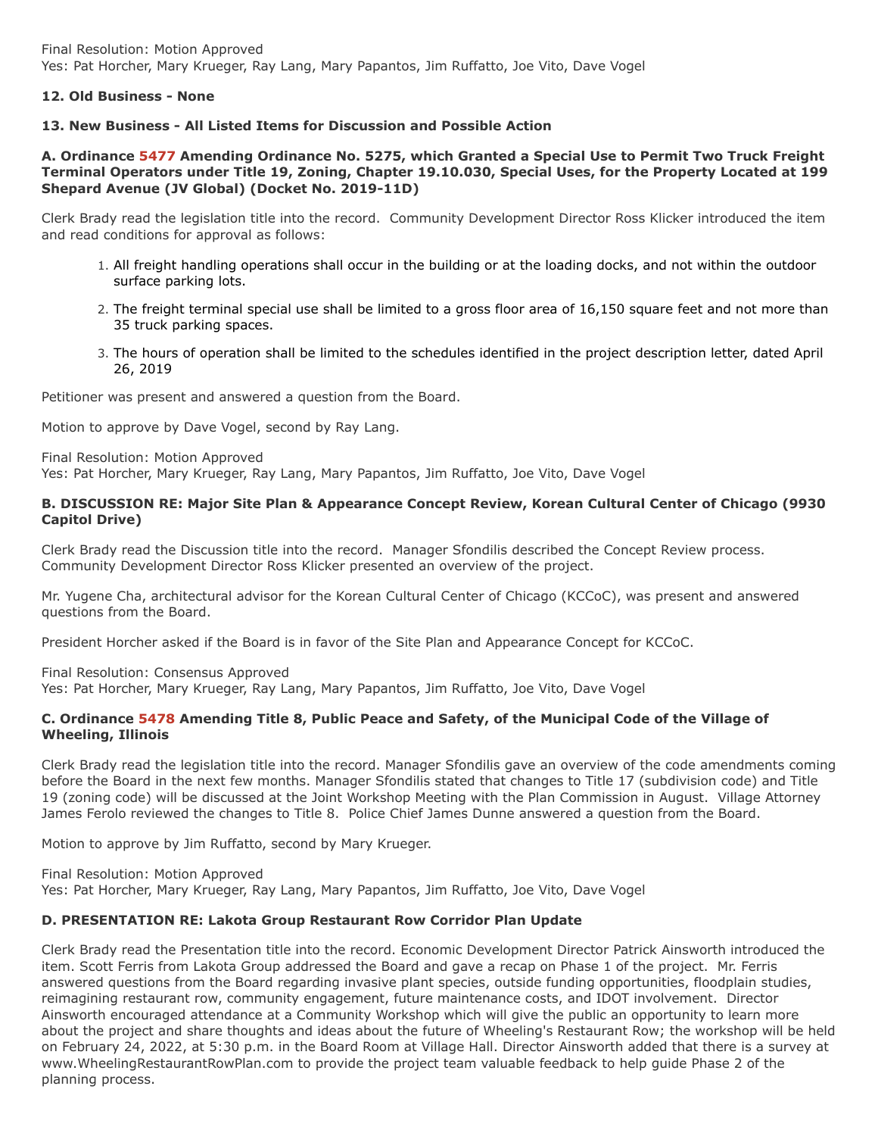Final Resolution: Motion Approved Yes: Pat Horcher, Mary Krueger, Ray Lang, Mary Papantos, Jim Ruffatto, Joe Vito, Dave Vogel

### **12. Old Business - None**

# **13. New Business - All Listed Items for Discussion and Possible Action**

#### **A. Ordinance 5477 Amending Ordinance No. 5275, which Granted a Special Use to Permit Two Truck Freight Terminal Operators under Title 19, Zoning, Chapter 19.10.030, Special Uses, for the Property Located at 199 Shepard Avenue (JV Global) (Docket No. 2019-11D)**

Clerk Brady read the legislation title into the record. Community Development Director Ross Klicker introduced the item and read conditions for approval as follows:

- 1. All freight handling operations shall occur in the building or at the loading docks, and not within the outdoor surface parking lots.
- 2. The freight terminal special use shall be limited to a gross floor area of 16,150 square feet and not more than 35 truck parking spaces.
- 3. The hours of operation shall be limited to the schedules identified in the project description letter, dated April 26, 2019

Petitioner was present and answered a question from the Board.

Motion to approve by Dave Vogel, second by Ray Lang.

Final Resolution: Motion Approved Yes: Pat Horcher, Mary Krueger, Ray Lang, Mary Papantos, Jim Ruffatto, Joe Vito, Dave Vogel

### **B. DISCUSSION RE: Major Site Plan & Appearance Concept Review, Korean Cultural Center of Chicago (9930 Capitol Drive)**

Clerk Brady read the Discussion title into the record. Manager Sfondilis described the Concept Review process. Community Development Director Ross Klicker presented an overview of the project.

Mr. Yugene Cha, architectural advisor for the Korean Cultural Center of Chicago (KCCoC), was present and answered questions from the Board.

President Horcher asked if the Board is in favor of the Site Plan and Appearance Concept for KCCoC.

Final Resolution: Consensus Approved Yes: Pat Horcher, Mary Krueger, Ray Lang, Mary Papantos, Jim Ruffatto, Joe Vito, Dave Vogel

### **C. Ordinance 5478 Amending Title 8, Public Peace and Safety, of the Municipal Code of the Village of Wheeling, Illinois**

Clerk Brady read the legislation title into the record. Manager Sfondilis gave an overview of the code amendments coming before the Board in the next few months. Manager Sfondilis stated that changes to Title 17 (subdivision code) and Title 19 (zoning code) will be discussed at the Joint Workshop Meeting with the Plan Commission in August. Village Attorney James Ferolo reviewed the changes to Title 8. Police Chief James Dunne answered a question from the Board.

Motion to approve by Jim Ruffatto, second by Mary Krueger.

Final Resolution: Motion Approved Yes: Pat Horcher, Mary Krueger, Ray Lang, Mary Papantos, Jim Ruffatto, Joe Vito, Dave Vogel

### **D. PRESENTATION RE: Lakota Group Restaurant Row Corridor Plan Update**

Clerk Brady read the Presentation title into the record. Economic Development Director Patrick Ainsworth introduced the item. Scott Ferris from Lakota Group addressed the Board and gave a recap on Phase 1 of the project. Mr. Ferris answered questions from the Board regarding invasive plant species, outside funding opportunities, floodplain studies, reimagining restaurant row, community engagement, future maintenance costs, and IDOT involvement. Director Ainsworth encouraged attendance at a Community Workshop which will give the public an opportunity to learn more about the project and share thoughts and ideas about the future of Wheeling's Restaurant Row; the workshop will be held on February 24, 2022, at 5:30 p.m. in the Board Room at Village Hall. Director Ainsworth added that there is a survey at www.WheelingRestaurantRowPlan.com to provide the project team valuable feedback to help guide Phase 2 of the planning process.